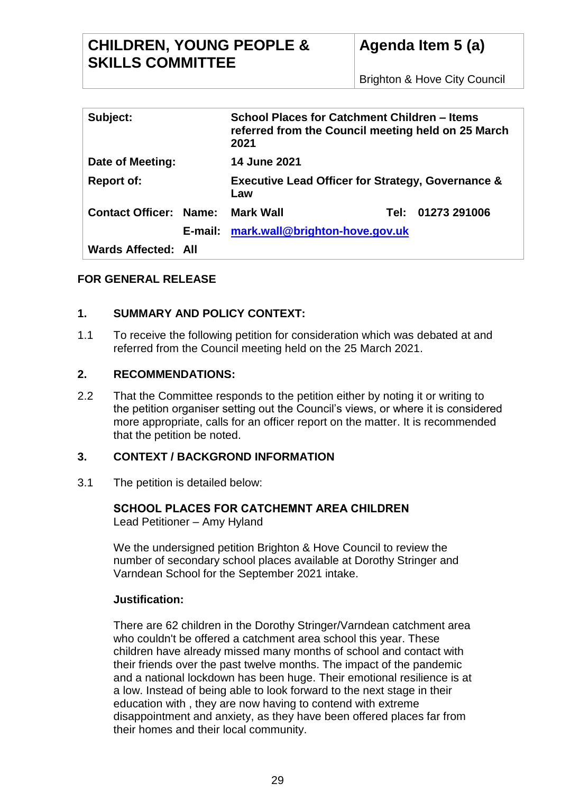## **CHILDREN, YOUNG PEOPLE & SKILLS COMMITTEE**

| Subject:                      |  | School Places for Catchment Children - Items<br>referred from the Council meeting held on 25 March<br>2021 |        |              |
|-------------------------------|--|------------------------------------------------------------------------------------------------------------|--------|--------------|
| Date of Meeting:              |  | <b>14 June 2021</b>                                                                                        |        |              |
| <b>Report of:</b>             |  | <b>Executive Lead Officer for Strategy, Governance &amp;</b><br>Law                                        |        |              |
| <b>Contact Officer: Name:</b> |  | <b>Mark Wall</b>                                                                                           | Tel: . | 01273 291006 |
|                               |  | E-mail: mark.wall@brighton-hove.gov.uk                                                                     |        |              |
| Wards Affected: All           |  |                                                                                                            |        |              |

## **FOR GENERAL RELEASE**

## **1. SUMMARY AND POLICY CONTEXT:**

1.1 To receive the following petition for consideration which was debated at and referred from the Council meeting held on the 25 March 2021.

## **2. RECOMMENDATIONS:**

2.2 That the Committee responds to the petition either by noting it or writing to the petition organiser setting out the Council's views, or where it is considered more appropriate, calls for an officer report on the matter. It is recommended that the petition be noted.

## **3. CONTEXT / BACKGROND INFORMATION**

3.1 The petition is detailed below:

# **SCHOOL PLACES FOR CATCHEMNT AREA CHILDREN**

Lead Petitioner – Amy Hyland

We the undersigned petition Brighton & Hove Council to review the number of secondary school places available at Dorothy Stringer and Varndean School for the September 2021 intake.

## **Justification:**

There are 62 children in the Dorothy Stringer/Varndean catchment area who couldn't be offered a catchment area school this year. These children have already missed many months of school and contact with their friends over the past twelve months. The impact of the pandemic and a national lockdown has been huge. Their emotional resilience is at a low. Instead of being able to look forward to the next stage in their education with , they are now having to contend with extreme disappointment and anxiety, as they have been offered places far from their homes and their local community.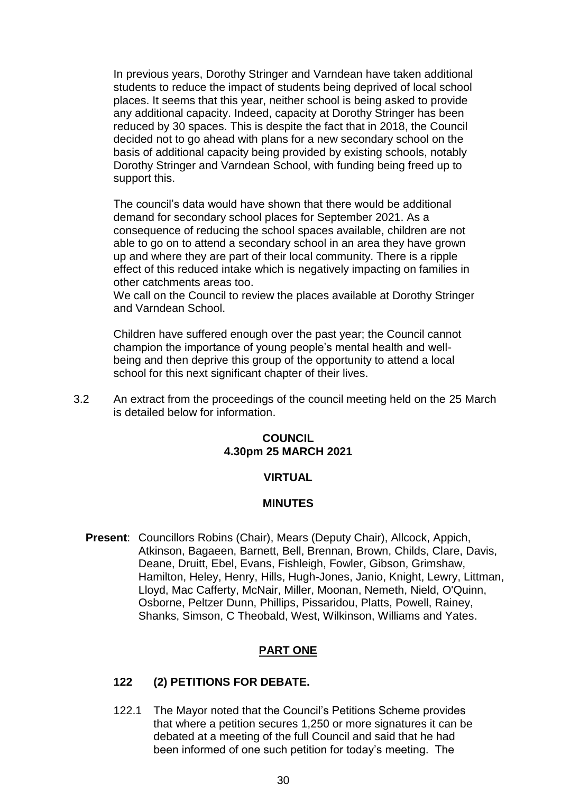In previous years, Dorothy Stringer and Varndean have taken additional students to reduce the impact of students being deprived of local school places. It seems that this year, neither school is being asked to provide any additional capacity. Indeed, capacity at Dorothy Stringer has been reduced by 30 spaces. This is despite the fact that in 2018, the Council decided not to go ahead with plans for a new secondary school on the basis of additional capacity being provided by existing schools, notably Dorothy Stringer and Varndean School, with funding being freed up to support this.

The council's data would have shown that there would be additional demand for secondary school places for September 2021. As a consequence of reducing the school spaces available, children are not able to go on to attend a secondary school in an area they have grown up and where they are part of their local community. There is a ripple effect of this reduced intake which is negatively impacting on families in other catchments areas too.

We call on the Council to review the places available at Dorothy Stringer and Varndean School.

Children have suffered enough over the past year; the Council cannot champion the importance of young people's mental health and wellbeing and then deprive this group of the opportunity to attend a local school for this next significant chapter of their lives.

3.2 An extract from the proceedings of the council meeting held on the 25 March is detailed below for information.

#### **COUNCIL 4.30pm 25 MARCH 2021**

#### **VIRTUAL**

#### **MINUTES**

**Present**: Councillors Robins (Chair), Mears (Deputy Chair), Allcock, Appich, Atkinson, Bagaeen, Barnett, Bell, Brennan, Brown, Childs, Clare, Davis, Deane, Druitt, Ebel, Evans, Fishleigh, Fowler, Gibson, Grimshaw, Hamilton, Heley, Henry, Hills, Hugh-Jones, Janio, Knight, Lewry, Littman, Lloyd, Mac Cafferty, McNair, Miller, Moonan, Nemeth, Nield, O'Quinn, Osborne, Peltzer Dunn, Phillips, Pissaridou, Platts, Powell, Rainey, Shanks, Simson, C Theobald, West, Wilkinson, Williams and Yates.

#### **PART ONE**

#### **122 (2) PETITIONS FOR DEBATE.**

122.1 The Mayor noted that the Council's Petitions Scheme provides that where a petition secures 1,250 or more signatures it can be debated at a meeting of the full Council and said that he had been informed of one such petition for today's meeting. The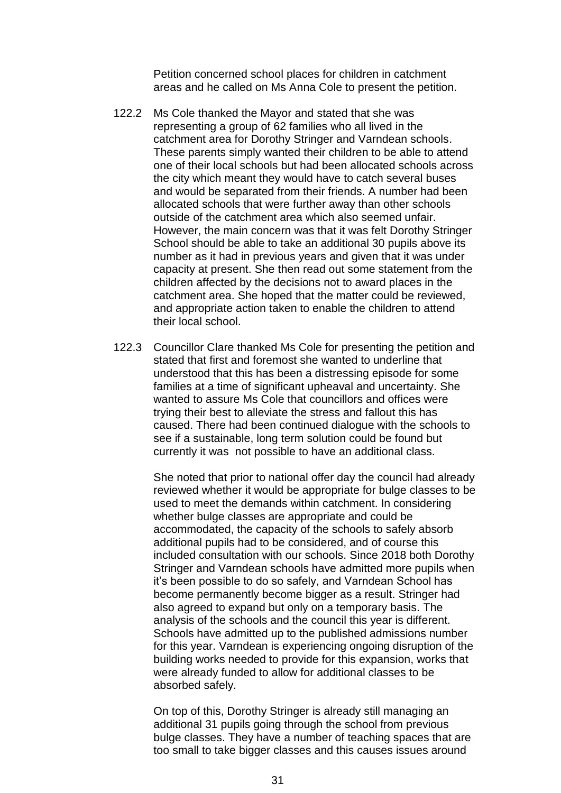Petition concerned school places for children in catchment areas and he called on Ms Anna Cole to present the petition.

- 122.2 Ms Cole thanked the Mayor and stated that she was representing a group of 62 families who all lived in the catchment area for Dorothy Stringer and Varndean schools. These parents simply wanted their children to be able to attend one of their local schools but had been allocated schools across the city which meant they would have to catch several buses and would be separated from their friends. A number had been allocated schools that were further away than other schools outside of the catchment area which also seemed unfair. However, the main concern was that it was felt Dorothy Stringer School should be able to take an additional 30 pupils above its number as it had in previous years and given that it was under capacity at present. She then read out some statement from the children affected by the decisions not to award places in the catchment area. She hoped that the matter could be reviewed, and appropriate action taken to enable the children to attend their local school.
- 122.3 Councillor Clare thanked Ms Cole for presenting the petition and stated that first and foremost she wanted to underline that understood that this has been a distressing episode for some families at a time of significant upheaval and uncertainty. She wanted to assure Ms Cole that councillors and offices were trying their best to alleviate the stress and fallout this has caused. There had been continued dialogue with the schools to see if a sustainable, long term solution could be found but currently it was not possible to have an additional class.

She noted that prior to national offer day the council had already reviewed whether it would be appropriate for bulge classes to be used to meet the demands within catchment. In considering whether bulge classes are appropriate and could be accommodated, the capacity of the schools to safely absorb additional pupils had to be considered, and of course this included consultation with our schools. Since 2018 both Dorothy Stringer and Varndean schools have admitted more pupils when it's been possible to do so safely, and Varndean School has become permanently become bigger as a result. Stringer had also agreed to expand but only on a temporary basis. The analysis of the schools and the council this year is different. Schools have admitted up to the published admissions number for this year. Varndean is experiencing ongoing disruption of the building works needed to provide for this expansion, works that were already funded to allow for additional classes to be absorbed safely.

On top of this, Dorothy Stringer is already still managing an additional 31 pupils going through the school from previous bulge classes. They have a number of teaching spaces that are too small to take bigger classes and this causes issues around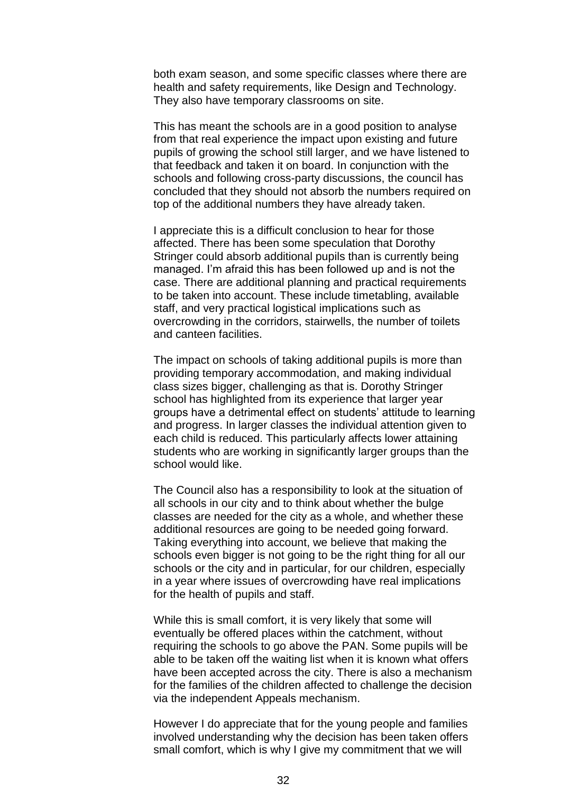both exam season, and some specific classes where there are health and safety requirements, like Design and Technology. They also have temporary classrooms on site.

This has meant the schools are in a good position to analyse from that real experience the impact upon existing and future pupils of growing the school still larger, and we have listened to that feedback and taken it on board. In conjunction with the schools and following cross-party discussions, the council has concluded that they should not absorb the numbers required on top of the additional numbers they have already taken.

I appreciate this is a difficult conclusion to hear for those affected. There has been some speculation that Dorothy Stringer could absorb additional pupils than is currently being managed. I'm afraid this has been followed up and is not the case. There are additional planning and practical requirements to be taken into account. These include timetabling, available staff, and very practical logistical implications such as overcrowding in the corridors, stairwells, the number of toilets and canteen facilities.

The impact on schools of taking additional pupils is more than providing temporary accommodation, and making individual class sizes bigger, challenging as that is. Dorothy Stringer school has highlighted from its experience that larger year groups have a detrimental effect on students' attitude to learning and progress. In larger classes the individual attention given to each child is reduced. This particularly affects lower attaining students who are working in significantly larger groups than the school would like.

The Council also has a responsibility to look at the situation of all schools in our city and to think about whether the bulge classes are needed for the city as a whole, and whether these additional resources are going to be needed going forward. Taking everything into account, we believe that making the schools even bigger is not going to be the right thing for all our schools or the city and in particular, for our children, especially in a year where issues of overcrowding have real implications for the health of pupils and staff.

While this is small comfort, it is very likely that some will eventually be offered places within the catchment, without requiring the schools to go above the PAN. Some pupils will be able to be taken off the waiting list when it is known what offers have been accepted across the city. There is also a mechanism for the families of the children affected to challenge the decision via the independent Appeals mechanism.

However I do appreciate that for the young people and families involved understanding why the decision has been taken offers small comfort, which is why I give my commitment that we will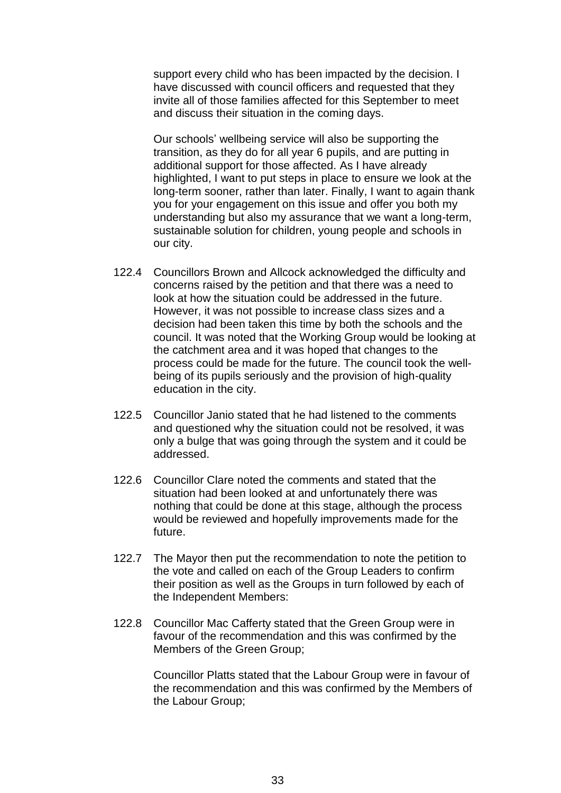support every child who has been impacted by the decision. I have discussed with council officers and requested that they invite all of those families affected for this September to meet and discuss their situation in the coming days.

Our schools' wellbeing service will also be supporting the transition, as they do for all year 6 pupils, and are putting in additional support for those affected. As I have already highlighted, I want to put steps in place to ensure we look at the long-term sooner, rather than later. Finally, I want to again thank you for your engagement on this issue and offer you both my understanding but also my assurance that we want a long-term, sustainable solution for children, young people and schools in our city.

- 122.4 Councillors Brown and Allcock acknowledged the difficulty and concerns raised by the petition and that there was a need to look at how the situation could be addressed in the future. However, it was not possible to increase class sizes and a decision had been taken this time by both the schools and the council. It was noted that the Working Group would be looking at the catchment area and it was hoped that changes to the process could be made for the future. The council took the wellbeing of its pupils seriously and the provision of high-quality education in the city.
- 122.5 Councillor Janio stated that he had listened to the comments and questioned why the situation could not be resolved, it was only a bulge that was going through the system and it could be addressed.
- 122.6 Councillor Clare noted the comments and stated that the situation had been looked at and unfortunately there was nothing that could be done at this stage, although the process would be reviewed and hopefully improvements made for the future.
- 122.7 The Mayor then put the recommendation to note the petition to the vote and called on each of the Group Leaders to confirm their position as well as the Groups in turn followed by each of the Independent Members:
- 122.8 Councillor Mac Cafferty stated that the Green Group were in favour of the recommendation and this was confirmed by the Members of the Green Group;

Councillor Platts stated that the Labour Group were in favour of the recommendation and this was confirmed by the Members of the Labour Group;